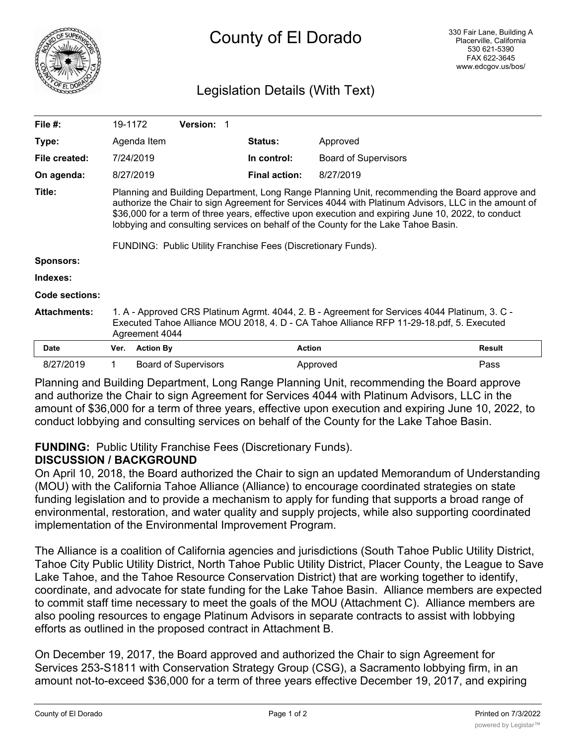

# Legislation Details (With Text)

| File $#$ :          | 19-1172                                                                                                                                                                                                                                                                                                                                                                                                                                                              |                  | Version: 1                  |  |                      |                             |               |
|---------------------|----------------------------------------------------------------------------------------------------------------------------------------------------------------------------------------------------------------------------------------------------------------------------------------------------------------------------------------------------------------------------------------------------------------------------------------------------------------------|------------------|-----------------------------|--|----------------------|-----------------------------|---------------|
| Type:               |                                                                                                                                                                                                                                                                                                                                                                                                                                                                      | Agenda Item      |                             |  | <b>Status:</b>       | Approved                    |               |
| File created:       |                                                                                                                                                                                                                                                                                                                                                                                                                                                                      | 7/24/2019        |                             |  | In control:          | <b>Board of Supervisors</b> |               |
| On agenda:          |                                                                                                                                                                                                                                                                                                                                                                                                                                                                      | 8/27/2019        |                             |  | <b>Final action:</b> | 8/27/2019                   |               |
| Title:              | Planning and Building Department, Long Range Planning Unit, recommending the Board approve and<br>authorize the Chair to sign Agreement for Services 4044 with Platinum Advisors, LLC in the amount of<br>\$36,000 for a term of three years, effective upon execution and expiring June 10, 2022, to conduct<br>lobbying and consulting services on behalf of the County for the Lake Tahoe Basin.<br>FUNDING: Public Utility Franchise Fees (Discretionary Funds). |                  |                             |  |                      |                             |               |
| <b>Sponsors:</b>    |                                                                                                                                                                                                                                                                                                                                                                                                                                                                      |                  |                             |  |                      |                             |               |
| Indexes:            |                                                                                                                                                                                                                                                                                                                                                                                                                                                                      |                  |                             |  |                      |                             |               |
| Code sections:      |                                                                                                                                                                                                                                                                                                                                                                                                                                                                      |                  |                             |  |                      |                             |               |
| <b>Attachments:</b> | 1. A - Approved CRS Platinum Agrmt. 4044, 2. B - Agreement for Services 4044 Platinum, 3. C -<br>Executed Tahoe Alliance MOU 2018, 4. D - CA Tahoe Alliance RFP 11-29-18.pdf, 5. Executed<br>Agreement 4044                                                                                                                                                                                                                                                          |                  |                             |  |                      |                             |               |
| <b>Date</b>         | Ver.                                                                                                                                                                                                                                                                                                                                                                                                                                                                 | <b>Action By</b> |                             |  | <b>Action</b>        |                             | <b>Result</b> |
| 8/27/2019           | 1                                                                                                                                                                                                                                                                                                                                                                                                                                                                    |                  | <b>Board of Supervisors</b> |  |                      | Approved                    | Pass          |

Planning and Building Department, Long Range Planning Unit, recommending the Board approve and authorize the Chair to sign Agreement for Services 4044 with Platinum Advisors, LLC in the amount of \$36,000 for a term of three years, effective upon execution and expiring June 10, 2022, to conduct lobbying and consulting services on behalf of the County for the Lake Tahoe Basin.

## **FUNDING:** Public Utility Franchise Fees (Discretionary Funds).

## **DISCUSSION / BACKGROUND**

On April 10, 2018, the Board authorized the Chair to sign an updated Memorandum of Understanding (MOU) with the California Tahoe Alliance (Alliance) to encourage coordinated strategies on state funding legislation and to provide a mechanism to apply for funding that supports a broad range of environmental, restoration, and water quality and supply projects, while also supporting coordinated implementation of the Environmental Improvement Program.

The Alliance is a coalition of California agencies and jurisdictions (South Tahoe Public Utility District, Tahoe City Public Utility District, North Tahoe Public Utility District, Placer County, the League to Save Lake Tahoe, and the Tahoe Resource Conservation District) that are working together to identify, coordinate, and advocate for state funding for the Lake Tahoe Basin. Alliance members are expected to commit staff time necessary to meet the goals of the MOU (Attachment C). Alliance members are also pooling resources to engage Platinum Advisors in separate contracts to assist with lobbying efforts as outlined in the proposed contract in Attachment B.

On December 19, 2017, the Board approved and authorized the Chair to sign Agreement for Services 253-S1811 with Conservation Strategy Group (CSG), a Sacramento lobbying firm, in an amount not-to-exceed \$36,000 for a term of three years effective December 19, 2017, and expiring